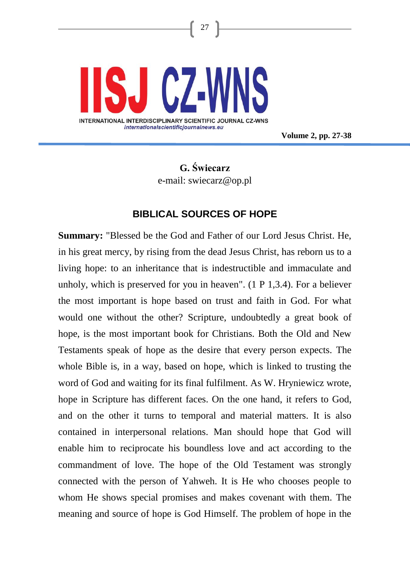

**Volume 2, pp. 27-38**

# **G. Świecarz** e-mail: swiecarz@op.pl

27

## **BIBLICAL SOURCES OF HOPE**

**Summary:** "Blessed be the God and Father of our Lord Jesus Christ. He, in his great mercy, by rising from the dead Jesus Christ, has reborn us to a living hope: to an inheritance that is indestructible and immaculate and unholy, which is preserved for you in heaven". (1 P 1,3.4). For a believer the most important is hope based on trust and faith in God. For what would one without the other? Scripture, undoubtedly a great book of hope, is the most important book for Christians. Both the Old and New Testaments speak of hope as the desire that every person expects. The whole Bible is, in a way, based on hope, which is linked to trusting the word of God and waiting for its final fulfilment. As W. Hryniewicz wrote, hope in Scripture has different faces. On the one hand, it refers to God, and on the other it turns to temporal and material matters. It is also contained in interpersonal relations. Man should hope that God will enable him to reciprocate his boundless love and act according to the commandment of love. The hope of the Old Testament was strongly connected with the person of Yahweh. It is He who chooses people to whom He shows special promises and makes covenant with them. The meaning and source of hope is God Himself. The problem of hope in the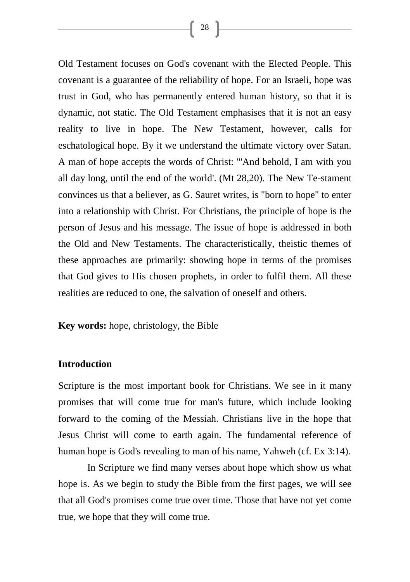Old Testament focuses on God's covenant with the Elected People. This covenant is a guarantee of the reliability of hope. For an Israeli, hope was trust in God, who has permanently entered human history, so that it is dynamic, not static. The Old Testament emphasises that it is not an easy reality to live in hope. The New Testament, however, calls for eschatological hope. By it we understand the ultimate victory over Satan. A man of hope accepts the words of Christ: "'And behold, I am with you all day long, until the end of the world'. (Mt 28,20). The New Te-stament convinces us that a believer, as G. Sauret writes, is "born to hope" to enter into a relationship with Christ. For Christians, the principle of hope is the person of Jesus and his message. The issue of hope is addressed in both the Old and New Testaments. The characteristically, theistic themes of these approaches are primarily: showing hope in terms of the promises that God gives to His chosen prophets, in order to fulfil them. All these realities are reduced to one, the salvation of oneself and others.

**Key words:** hope, christology, the Bible

#### **Introduction**

Scripture is the most important book for Christians. We see in it many promises that will come true for man's future, which include looking forward to the coming of the Messiah. Christians live in the hope that Jesus Christ will come to earth again. The fundamental reference of human hope is God's revealing to man of his name, Yahweh (cf. Ex 3:14).

In Scripture we find many verses about hope which show us what hope is. As we begin to study the Bible from the first pages, we will see that all God's promises come true over time. Those that have not yet come true, we hope that they will come true.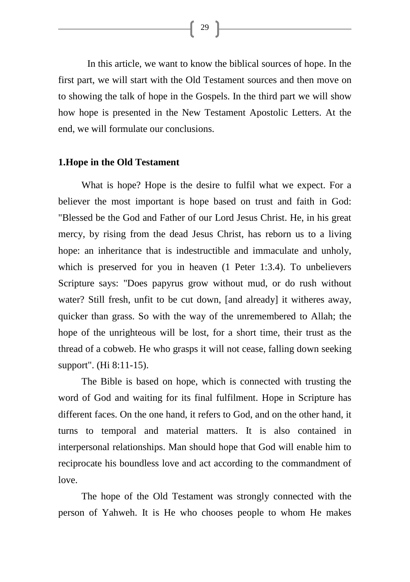In this article, we want to know the biblical sources of hope. In the first part, we will start with the Old Testament sources and then move on to showing the talk of hope in the Gospels. In the third part we will show how hope is presented in the New Testament Apostolic Letters. At the end, we will formulate our conclusions.

#### **1.Hope in the Old Testament**

What is hope? Hope is the desire to fulfil what we expect. For a believer the most important is hope based on trust and faith in God: "Blessed be the God and Father of our Lord Jesus Christ. He, in his great mercy, by rising from the dead Jesus Christ, has reborn us to a living hope: an inheritance that is indestructible and immaculate and unholy, which is preserved for you in heaven  $(1$  Peter 1:3.4). To unbelievers Scripture says: "Does papyrus grow without mud, or do rush without water? Still fresh, unfit to be cut down, [and already] it witheres away, quicker than grass. So with the way of the unremembered to Allah; the hope of the unrighteous will be lost, for a short time, their trust as the thread of a cobweb. He who grasps it will not cease, falling down seeking support". (Hi 8:11-15).

The Bible is based on hope, which is connected with trusting the word of God and waiting for its final fulfilment. Hope in Scripture has different faces. On the one hand, it refers to God, and on the other hand, it turns to temporal and material matters. It is also contained in interpersonal relationships. Man should hope that God will enable him to reciprocate his boundless love and act according to the commandment of love.

The hope of the Old Testament was strongly connected with the person of Yahweh. It is He who chooses people to whom He makes

 $\begin{bmatrix} 29 \end{bmatrix}$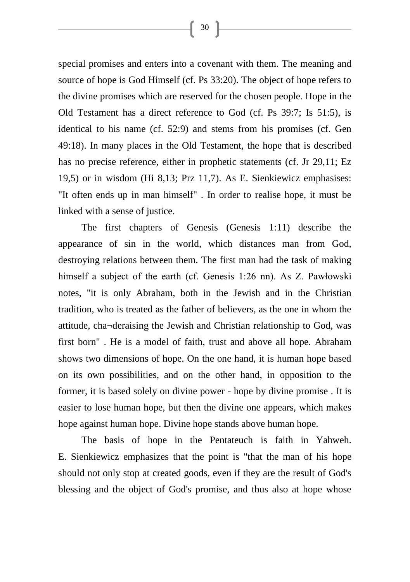special promises and enters into a covenant with them. The meaning and source of hope is God Himself (cf. Ps 33:20). The object of hope refers to the divine promises which are reserved for the chosen people. Hope in the Old Testament has a direct reference to God (cf. Ps 39:7; Is 51:5), is identical to his name (cf. 52:9) and stems from his promises (cf. Gen 49:18). In many places in the Old Testament, the hope that is described has no precise reference, either in prophetic statements (cf. Jr 29,11; Ez 19,5) or in wisdom (Hi 8,13; Prz 11,7). As E. Sienkiewicz emphasises: "It often ends up in man himself" . In order to realise hope, it must be linked with a sense of justice.

The first chapters of Genesis (Genesis 1:11) describe the appearance of sin in the world, which distances man from God, destroying relations between them. The first man had the task of making himself a subject of the earth (cf. Genesis 1:26 nn). As Z. Pawłowski notes, "it is only Abraham, both in the Jewish and in the Christian tradition, who is treated as the father of believers, as the one in whom the attitude, cha¬deraising the Jewish and Christian relationship to God, was first born" . He is a model of faith, trust and above all hope. Abraham shows two dimensions of hope. On the one hand, it is human hope based on its own possibilities, and on the other hand, in opposition to the former, it is based solely on divine power - hope by divine promise . It is easier to lose human hope, but then the divine one appears, which makes hope against human hope. Divine hope stands above human hope.

The basis of hope in the Pentateuch is faith in Yahweh. E. Sienkiewicz emphasizes that the point is "that the man of his hope should not only stop at created goods, even if they are the result of God's blessing and the object of God's promise, and thus also at hope whose

30 }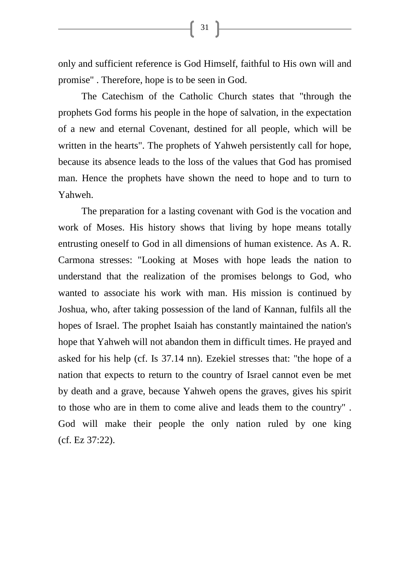only and sufficient reference is God Himself, faithful to His own will and promise" . Therefore, hope is to be seen in God.

 $31$ 

The Catechism of the Catholic Church states that "through the prophets God forms his people in the hope of salvation, in the expectation of a new and eternal Covenant, destined for all people, which will be written in the hearts". The prophets of Yahweh persistently call for hope, because its absence leads to the loss of the values that God has promised man. Hence the prophets have shown the need to hope and to turn to Yahweh.

The preparation for a lasting covenant with God is the vocation and work of Moses. His history shows that living by hope means totally entrusting oneself to God in all dimensions of human existence. As A. R. Carmona stresses: "Looking at Moses with hope leads the nation to understand that the realization of the promises belongs to God, who wanted to associate his work with man. His mission is continued by Joshua, who, after taking possession of the land of Kannan, fulfils all the hopes of Israel. The prophet Isaiah has constantly maintained the nation's hope that Yahweh will not abandon them in difficult times. He prayed and asked for his help (cf. Is 37.14 nn). Ezekiel stresses that: "the hope of a nation that expects to return to the country of Israel cannot even be met by death and a grave, because Yahweh opens the graves, gives his spirit to those who are in them to come alive and leads them to the country" . God will make their people the only nation ruled by one king (cf. Ez 37:22).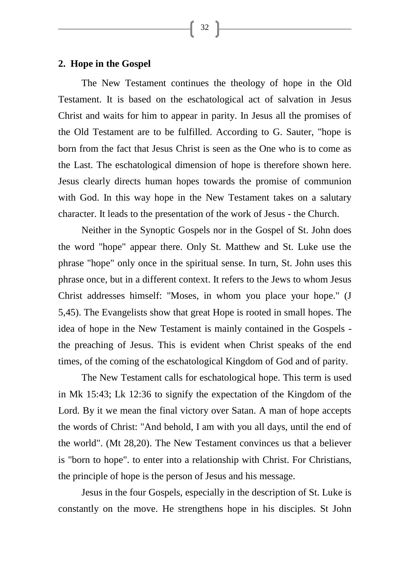32

### **2. Hope in the Gospel**

The New Testament continues the theology of hope in the Old Testament. It is based on the eschatological act of salvation in Jesus Christ and waits for him to appear in parity. In Jesus all the promises of the Old Testament are to be fulfilled. According to G. Sauter, "hope is born from the fact that Jesus Christ is seen as the One who is to come as the Last. The eschatological dimension of hope is therefore shown here. Jesus clearly directs human hopes towards the promise of communion with God. In this way hope in the New Testament takes on a salutary character. It leads to the presentation of the work of Jesus - the Church.

Neither in the Synoptic Gospels nor in the Gospel of St. John does the word "hope" appear there. Only St. Matthew and St. Luke use the phrase "hope" only once in the spiritual sense. In turn, St. John uses this phrase once, but in a different context. It refers to the Jews to whom Jesus Christ addresses himself: "Moses, in whom you place your hope." (J 5,45). The Evangelists show that great Hope is rooted in small hopes. The idea of hope in the New Testament is mainly contained in the Gospels the preaching of Jesus. This is evident when Christ speaks of the end times, of the coming of the eschatological Kingdom of God and of parity.

The New Testament calls for eschatological hope. This term is used in Mk 15:43; Lk 12:36 to signify the expectation of the Kingdom of the Lord. By it we mean the final victory over Satan. A man of hope accepts the words of Christ: "And behold, I am with you all days, until the end of the world". (Mt 28,20). The New Testament convinces us that a believer is "born to hope". to enter into a relationship with Christ. For Christians, the principle of hope is the person of Jesus and his message.

Jesus in the four Gospels, especially in the description of St. Luke is constantly on the move. He strengthens hope in his disciples. St John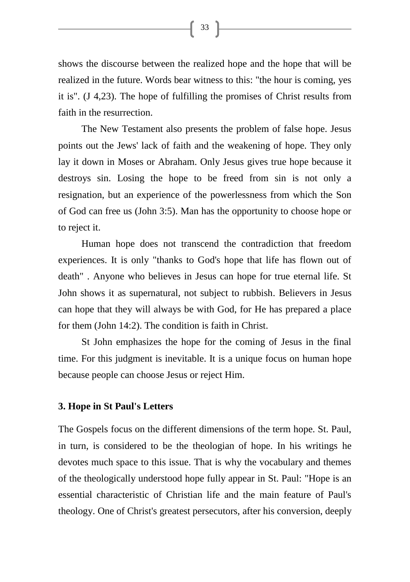shows the discourse between the realized hope and the hope that will be realized in the future. Words bear witness to this: "the hour is coming, yes it is". (J 4,23). The hope of fulfilling the promises of Christ results from faith in the resurrection.

The New Testament also presents the problem of false hope. Jesus points out the Jews' lack of faith and the weakening of hope. They only lay it down in Moses or Abraham. Only Jesus gives true hope because it destroys sin. Losing the hope to be freed from sin is not only a resignation, but an experience of the powerlessness from which the Son of God can free us (John 3:5). Man has the opportunity to choose hope or to reject it.

Human hope does not transcend the contradiction that freedom experiences. It is only "thanks to God's hope that life has flown out of death" . Anyone who believes in Jesus can hope for true eternal life. St John shows it as supernatural, not subject to rubbish. Believers in Jesus can hope that they will always be with God, for He has prepared a place for them (John 14:2). The condition is faith in Christ.

St John emphasizes the hope for the coming of Jesus in the final time. For this judgment is inevitable. It is a unique focus on human hope because people can choose Jesus or reject Him.

#### **3. Hope in St Paul's Letters**

The Gospels focus on the different dimensions of the term hope. St. Paul, in turn, is considered to be the theologian of hope. In his writings he devotes much space to this issue. That is why the vocabulary and themes of the theologically understood hope fully appear in St. Paul: "Hope is an essential characteristic of Christian life and the main feature of Paul's theology. One of Christ's greatest persecutors, after his conversion, deeply

 $33$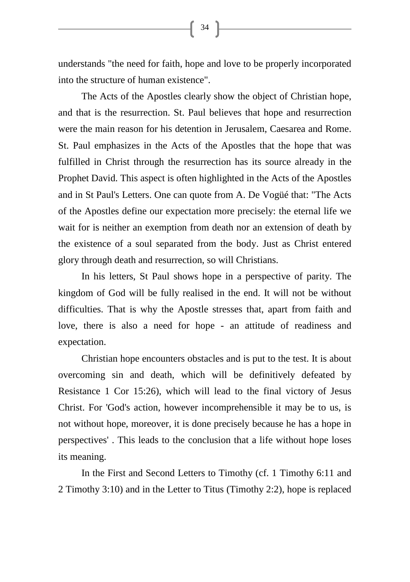understands "the need for faith, hope and love to be properly incorporated into the structure of human existence".

The Acts of the Apostles clearly show the object of Christian hope, and that is the resurrection. St. Paul believes that hope and resurrection were the main reason for his detention in Jerusalem, Caesarea and Rome. St. Paul emphasizes in the Acts of the Apostles that the hope that was fulfilled in Christ through the resurrection has its source already in the Prophet David. This aspect is often highlighted in the Acts of the Apostles and in St Paul's Letters. One can quote from A. De Vogüé that: "The Acts of the Apostles define our expectation more precisely: the eternal life we wait for is neither an exemption from death nor an extension of death by the existence of a soul separated from the body. Just as Christ entered glory through death and resurrection, so will Christians.

In his letters, St Paul shows hope in a perspective of parity. The kingdom of God will be fully realised in the end. It will not be without difficulties. That is why the Apostle stresses that, apart from faith and love, there is also a need for hope - an attitude of readiness and expectation.

Christian hope encounters obstacles and is put to the test. It is about overcoming sin and death, which will be definitively defeated by Resistance 1 Cor 15:26), which will lead to the final victory of Jesus Christ. For 'God's action, however incomprehensible it may be to us, is not without hope, moreover, it is done precisely because he has a hope in perspectives' . This leads to the conclusion that a life without hope loses its meaning.

In the First and Second Letters to Timothy (cf. 1 Timothy 6:11 and 2 Timothy 3:10) and in the Letter to Titus (Timothy 2:2), hope is replaced

 $\begin{bmatrix} 34 \end{bmatrix}$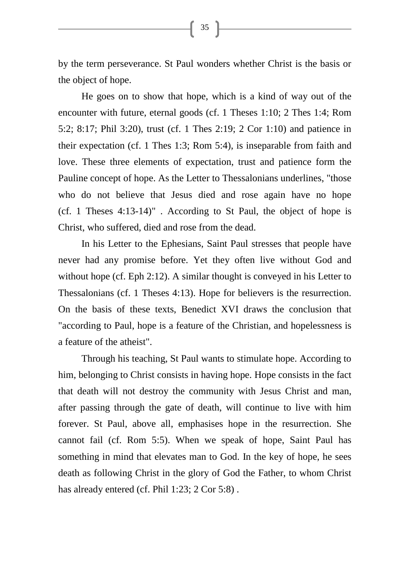by the term perseverance. St Paul wonders whether Christ is the basis or the object of hope.

He goes on to show that hope, which is a kind of way out of the encounter with future, eternal goods (cf. 1 Theses 1:10; 2 Thes 1:4; Rom 5:2; 8:17; Phil 3:20), trust (cf. 1 Thes 2:19; 2 Cor 1:10) and patience in their expectation (cf. 1 Thes 1:3; Rom 5:4), is inseparable from faith and love. These three elements of expectation, trust and patience form the Pauline concept of hope. As the Letter to Thessalonians underlines, "those who do not believe that Jesus died and rose again have no hope (cf. 1 Theses 4:13-14)" . According to St Paul, the object of hope is Christ, who suffered, died and rose from the dead.

In his Letter to the Ephesians, Saint Paul stresses that people have never had any promise before. Yet they often live without God and without hope (cf. Eph 2:12). A similar thought is conveyed in his Letter to Thessalonians (cf. 1 Theses 4:13). Hope for believers is the resurrection. On the basis of these texts, Benedict XVI draws the conclusion that "according to Paul, hope is a feature of the Christian, and hopelessness is a feature of the atheist".

Through his teaching, St Paul wants to stimulate hope. According to him, belonging to Christ consists in having hope. Hope consists in the fact that death will not destroy the community with Jesus Christ and man, after passing through the gate of death, will continue to live with him forever. St Paul, above all, emphasises hope in the resurrection. She cannot fail (cf. Rom 5:5). When we speak of hope, Saint Paul has something in mind that elevates man to God. In the key of hope, he sees death as following Christ in the glory of God the Father, to whom Christ has already entered (cf. Phil 1:23; 2 Cor 5:8).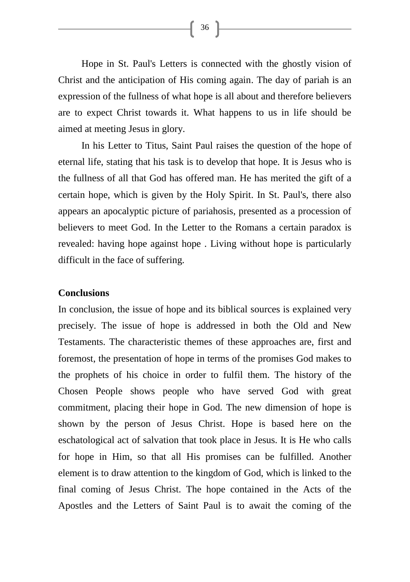Hope in St. Paul's Letters is connected with the ghostly vision of Christ and the anticipation of His coming again. The day of pariah is an expression of the fullness of what hope is all about and therefore believers are to expect Christ towards it. What happens to us in life should be aimed at meeting Jesus in glory.

In his Letter to Titus, Saint Paul raises the question of the hope of eternal life, stating that his task is to develop that hope. It is Jesus who is the fullness of all that God has offered man. He has merited the gift of a certain hope, which is given by the Holy Spirit. In St. Paul's, there also appears an apocalyptic picture of pariahosis, presented as a procession of believers to meet God. In the Letter to the Romans a certain paradox is revealed: having hope against hope . Living without hope is particularly difficult in the face of suffering.

#### **Conclusions**

In conclusion, the issue of hope and its biblical sources is explained very precisely. The issue of hope is addressed in both the Old and New Testaments. The characteristic themes of these approaches are, first and foremost, the presentation of hope in terms of the promises God makes to the prophets of his choice in order to fulfil them. The history of the Chosen People shows people who have served God with great commitment, placing their hope in God. The new dimension of hope is shown by the person of Jesus Christ. Hope is based here on the eschatological act of salvation that took place in Jesus. It is He who calls for hope in Him, so that all His promises can be fulfilled. Another element is to draw attention to the kingdom of God, which is linked to the final coming of Jesus Christ. The hope contained in the Acts of the Apostles and the Letters of Saint Paul is to await the coming of the

 $\begin{bmatrix} 36 \end{bmatrix}$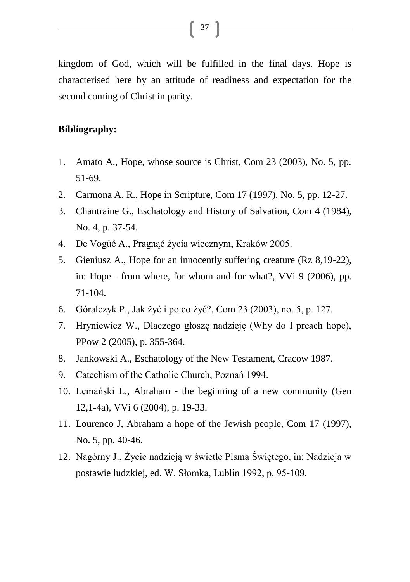kingdom of God, which will be fulfilled in the final days. Hope is characterised here by an attitude of readiness and expectation for the second coming of Christ in parity.

#### **Bibliography:**

- 1. Amato A., Hope, whose source is Christ, Com 23 (2003), No. 5, pp. 51-69.
- 2. Carmona A. R., Hope in Scripture, Com 17 (1997), No. 5, pp. 12-27.
- 3. Chantraine G., Eschatology and History of Salvation, Com 4 (1984), No. 4, p. 37-54.
- 4. De Vogüé A., Pragnąć życia wiecznym, Kraków 2005.
- 5. Gieniusz A., Hope for an innocently suffering creature (Rz 8,19-22), in: Hope - from where, for whom and for what?, VVi 9 (2006), pp. 71-104.
- 6. Góralczyk P., Jak żyć i po co żyć?, Com 23 (2003), no. 5, p. 127.
- 7. Hryniewicz W., Dlaczego głoszę nadzieję (Why do I preach hope), PPow 2 (2005), p. 355-364.
- 8. Jankowski A., Eschatology of the New Testament, Cracow 1987.
- 9. Catechism of the Catholic Church, Poznań 1994.
- 10. Lemański L., Abraham the beginning of a new community (Gen 12,1-4a), VVi 6 (2004), p. 19-33.
- 11. Lourenco J, Abraham a hope of the Jewish people, Com 17 (1997), No. 5, pp. 40-46.
- 12. Nagórny J., Życie nadzieją w świetle Pisma Świętego, in: Nadzieja w postawie ludzkiej, ed. W. Słomka, Lublin 1992, p. 95-109.

 $\begin{bmatrix} 37 \end{bmatrix}$